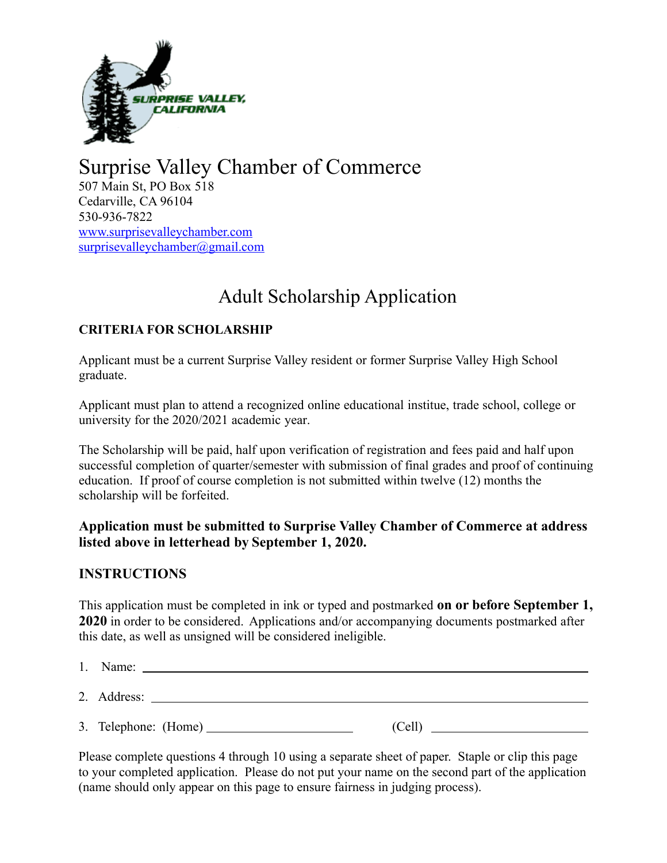

# Surprise Valley Chamber of Commerce

507 Main St, PO Box 518 Cedarville, CA 96104 530-936-7822 [www.surprisevalleychamber.com](http://www.surprisevalleychamber.com/) [surprisevalleychamber@gmail.com](mailto:surprisevalleychamber@gmail.com)

# Adult Scholarship Application

## **CRITERIA FOR SCHOLARSHIP**

Applicant must be a current Surprise Valley resident or former Surprise Valley High School graduate.

Applicant must plan to attend a recognized online educational institue, trade school, college or university for the 2020/2021 academic year.

The Scholarship will be paid, half upon verification of registration and fees paid and half upon successful completion of quarter/semester with submission of final grades and proof of continuing education. If proof of course completion is not submitted within twelve (12) months the scholarship will be forfeited.

### **Application must be submitted to Surprise Valley Chamber of Commerce at address listed above in letterhead by September 1, 2020.**

### **INSTRUCTIONS**

This application must be completed in ink or typed and postmarked **on or before September 1, 2020** in order to be considered. Applications and/or accompanying documents postmarked after this date, as well as unsigned will be considered ineligible.

1. Name:

- 2. Address:
- 3. Telephone:  $(Home)$  (Cell) (Cell)

Please complete questions 4 through 10 using a separate sheet of paper. Staple or clip this page to your completed application. Please do not put your name on the second part of the application (name should only appear on this page to ensure fairness in judging process).